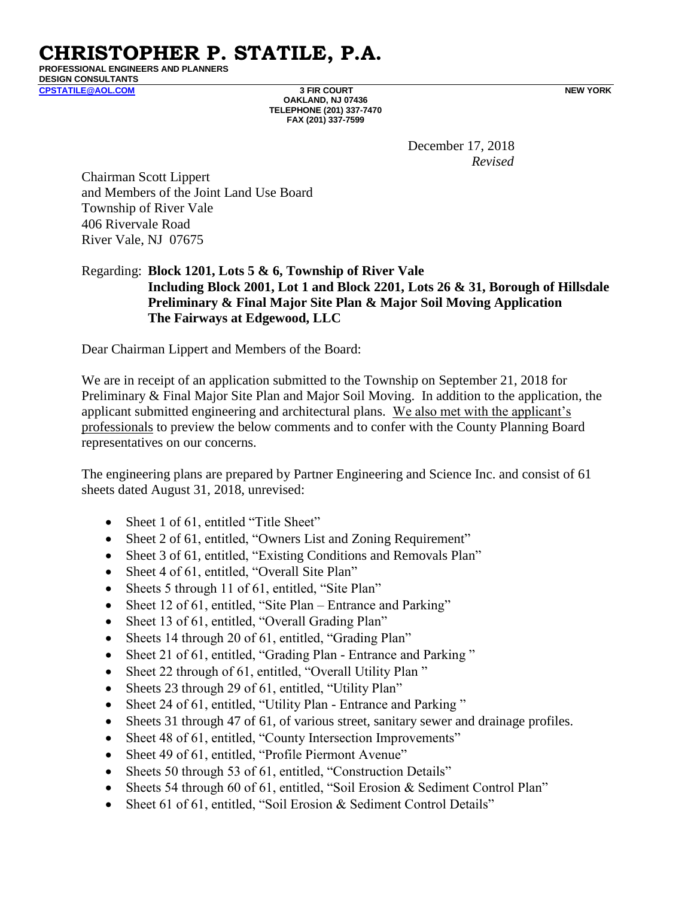**CHRISTOPHER P. STATILE, P.A. PROFESSIONAL ENGINEERS AND PLANNERS**

**DESIGN CONSULTANTS** 

**[CPSTATILE@AOL.COM](mailto:CPSTATILE@AOL.COM) 3 FIR COURT NEW YORK OAKLAND, NJ 07436 TELEPHONE (201) 337-7470 FAX (201) 337-7599**

December 17, 2018 *Revised*

Chairman Scott Lippert and Members of the Joint Land Use Board Township of River Vale 406 Rivervale Road River Vale, NJ 07675

# Regarding: **Block 1201, Lots 5 & 6, Township of River Vale Including Block 2001, Lot 1 and Block 2201, Lots 26 & 31, Borough of Hillsdale Preliminary & Final Major Site Plan & Major Soil Moving Application The Fairways at Edgewood, LLC**

Dear Chairman Lippert and Members of the Board:

We are in receipt of an application submitted to the Township on September 21, 2018 for Preliminary & Final Major Site Plan and Major Soil Moving. In addition to the application, the applicant submitted engineering and architectural plans. We also met with the applicant's professionals to preview the below comments and to confer with the County Planning Board representatives on our concerns.

The engineering plans are prepared by Partner Engineering and Science Inc. and consist of 61 sheets dated August 31, 2018, unrevised:

- Sheet 1 of 61, entitled "Title Sheet"
- Sheet 2 of 61, entitled, "Owners List and Zoning Requirement"
- Sheet 3 of 61, entitled, "Existing Conditions and Removals Plan"
- Sheet 4 of 61, entitled, "Overall Site Plan"
- Sheets 5 through 11 of 61, entitled, "Site Plan"
- Sheet 12 of 61, entitled, "Site Plan Entrance and Parking"
- Sheet 13 of 61, entitled, "Overall Grading Plan"
- Sheets 14 through 20 of 61, entitled, "Grading Plan"
- Sheet 21 of 61, entitled, "Grading Plan Entrance and Parking"
- Sheet 22 through of 61, entitled, "Overall Utility Plan"
- Sheets 23 through 29 of 61, entitled, "Utility Plan"
- Sheet 24 of 61, entitled, "Utility Plan Entrance and Parking"
- Sheets 31 through 47 of 61, of various street, sanitary sewer and drainage profiles.
- Sheet 48 of 61, entitled, "County Intersection Improvements"
- Sheet 49 of 61, entitled, "Profile Piermont Avenue"
- Sheets 50 through 53 of 61, entitled, "Construction Details"
- Sheets 54 through 60 of 61, entitled, "Soil Erosion & Sediment Control Plan"
- Sheet 61 of 61, entitled, "Soil Erosion & Sediment Control Details"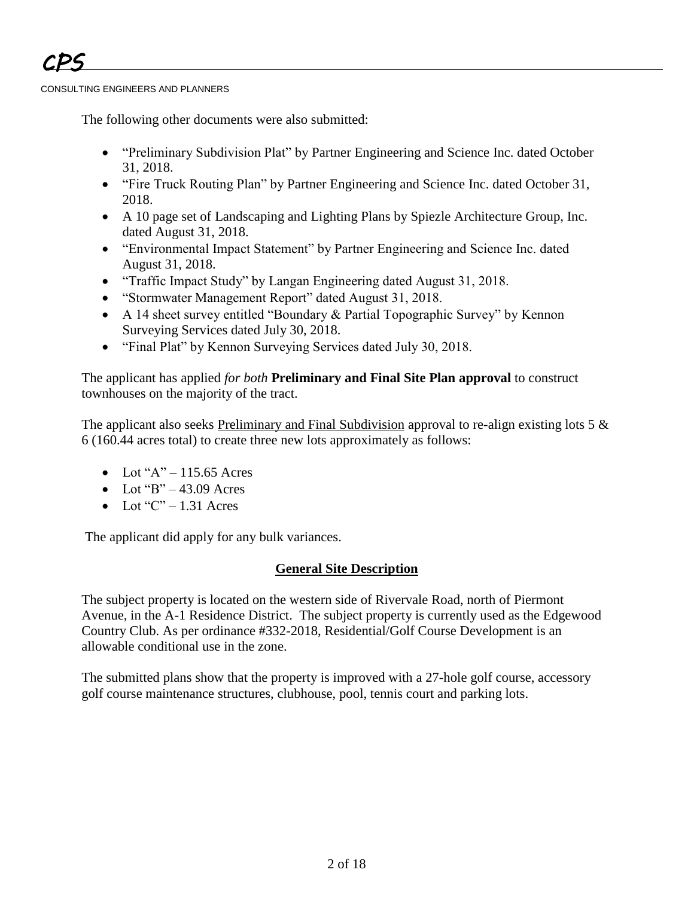The following other documents were also submitted:

- "Preliminary Subdivision Plat" by Partner Engineering and Science Inc. dated October 31, 2018.
- "Fire Truck Routing Plan" by Partner Engineering and Science Inc. dated October 31, 2018.
- A 10 page set of Landscaping and Lighting Plans by Spiezle Architecture Group, Inc. dated August 31, 2018.
- "Environmental Impact Statement" by Partner Engineering and Science Inc. dated August 31, 2018.
- "Traffic Impact Study" by Langan Engineering dated August 31, 2018.
- "Stormwater Management Report" dated August 31, 2018.
- A 14 sheet survey entitled "Boundary & Partial Topographic Survey" by Kennon Surveying Services dated July 30, 2018.
- "Final Plat" by Kennon Surveying Services dated July 30, 2018.

The applicant has applied *for both* **Preliminary and Final Site Plan approval** to construct townhouses on the majority of the tract.

The applicant also seeks Preliminary and Final Subdivision approval to re-align existing lots 5  $\&$ 6 (160.44 acres total) to create three new lots approximately as follows:

- $\bullet$  Lot "A" 115.65 Acres
- $\bullet$  Lot "B" 43.09 Acres"
- $\bullet$  Lot "C" 1.31 Acres

The applicant did apply for any bulk variances.

# **General Site Description**

The subject property is located on the western side of Rivervale Road, north of Piermont Avenue, in the A-1 Residence District. The subject property is currently used as the Edgewood Country Club. As per ordinance #332-2018, Residential/Golf Course Development is an allowable conditional use in the zone.

The submitted plans show that the property is improved with a 27-hole golf course, accessory golf course maintenance structures, clubhouse, pool, tennis court and parking lots.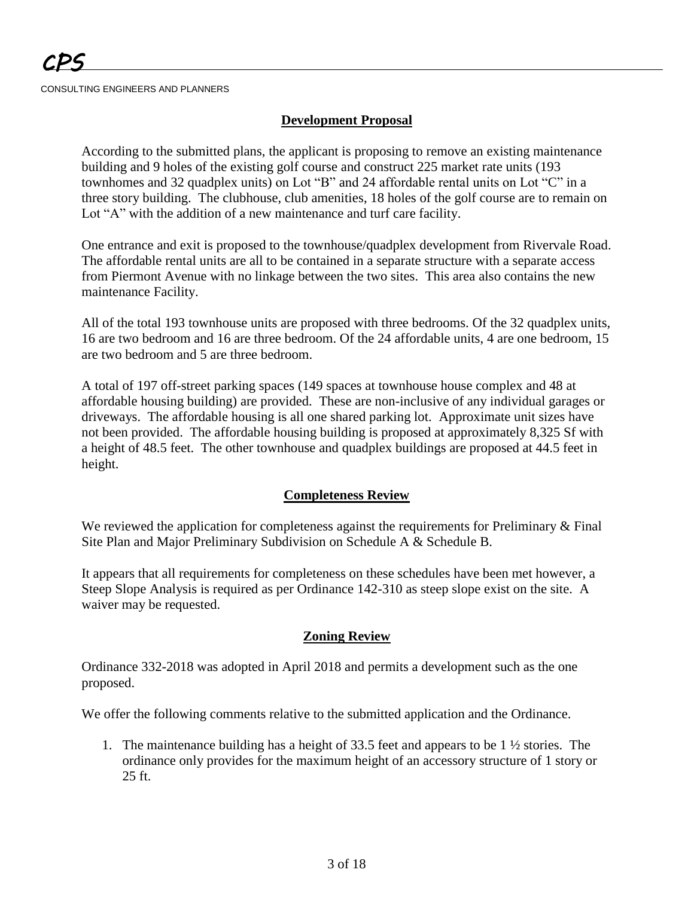## **Development Proposal**

According to the submitted plans, the applicant is proposing to remove an existing maintenance building and 9 holes of the existing golf course and construct 225 market rate units (193 townhomes and 32 quadplex units) on Lot "B" and 24 affordable rental units on Lot "C" in a three story building. The clubhouse, club amenities, 18 holes of the golf course are to remain on Lot "A" with the addition of a new maintenance and turf care facility.

One entrance and exit is proposed to the townhouse/quadplex development from Rivervale Road. The affordable rental units are all to be contained in a separate structure with a separate access from Piermont Avenue with no linkage between the two sites. This area also contains the new maintenance Facility.

All of the total 193 townhouse units are proposed with three bedrooms. Of the 32 quadplex units, 16 are two bedroom and 16 are three bedroom. Of the 24 affordable units, 4 are one bedroom, 15 are two bedroom and 5 are three bedroom.

A total of 197 off-street parking spaces (149 spaces at townhouse house complex and 48 at affordable housing building) are provided. These are non-inclusive of any individual garages or driveways. The affordable housing is all one shared parking lot. Approximate unit sizes have not been provided. The affordable housing building is proposed at approximately 8,325 Sf with a height of 48.5 feet. The other townhouse and quadplex buildings are proposed at 44.5 feet in height.

## **Completeness Review**

We reviewed the application for completeness against the requirements for Preliminary & Final Site Plan and Major Preliminary Subdivision on Schedule A & Schedule B.

It appears that all requirements for completeness on these schedules have been met however, a Steep Slope Analysis is required as per Ordinance 142-310 as steep slope exist on the site. A waiver may be requested.

## **Zoning Review**

Ordinance 332-2018 was adopted in April 2018 and permits a development such as the one proposed.

We offer the following comments relative to the submitted application and the Ordinance.

1. The maintenance building has a height of 33.5 feet and appears to be 1 ½ stories. The ordinance only provides for the maximum height of an accessory structure of 1 story or 25 ft.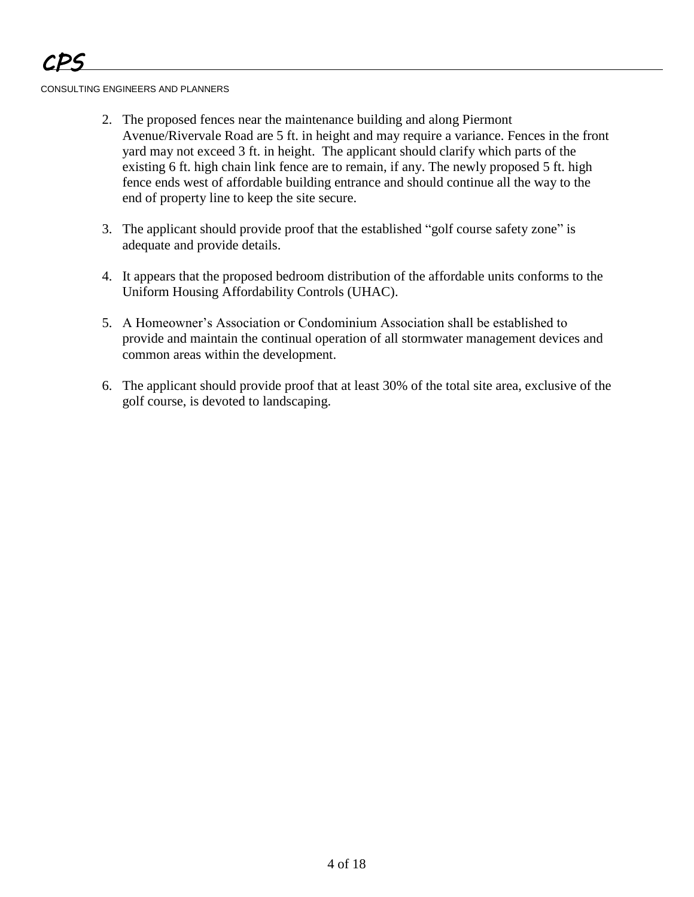- 2. The proposed fences near the maintenance building and along Piermont Avenue/Rivervale Road are 5 ft. in height and may require a variance. Fences in the front yard may not exceed 3 ft. in height. The applicant should clarify which parts of the existing 6 ft. high chain link fence are to remain, if any. The newly proposed 5 ft. high fence ends west of affordable building entrance and should continue all the way to the end of property line to keep the site secure.
- 3. The applicant should provide proof that the established "golf course safety zone" is adequate and provide details.
- 4. It appears that the proposed bedroom distribution of the affordable units conforms to the Uniform Housing Affordability Controls (UHAC).
- 5. A Homeowner's Association or Condominium Association shall be established to provide and maintain the continual operation of all stormwater management devices and common areas within the development.
- 6. The applicant should provide proof that at least 30% of the total site area, exclusive of the golf course, is devoted to landscaping.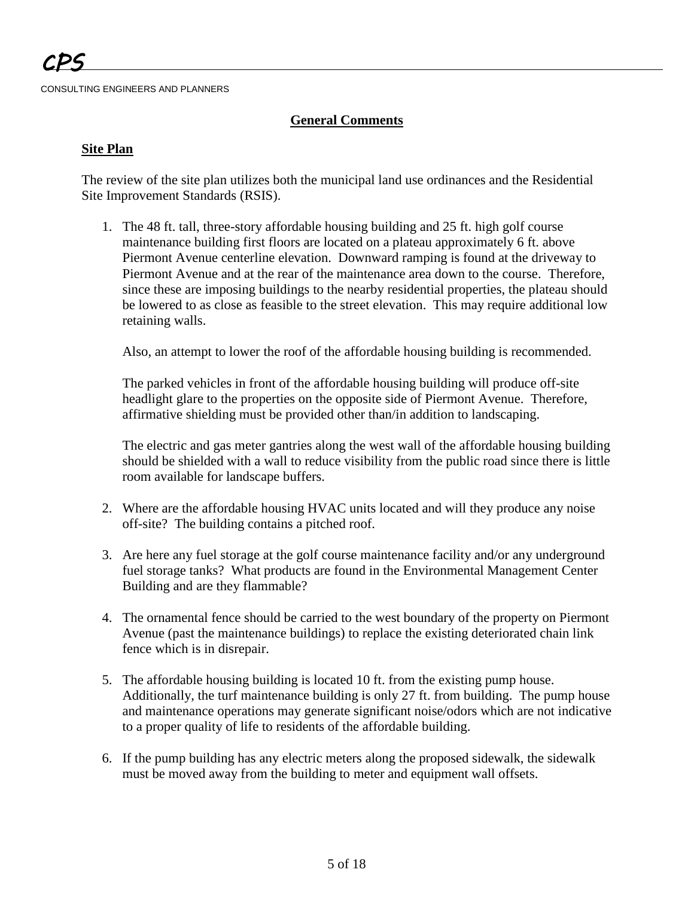# **General Comments**

### **Site Plan**

The review of the site plan utilizes both the municipal land use ordinances and the Residential Site Improvement Standards (RSIS).

1. The 48 ft. tall, three-story affordable housing building and 25 ft. high golf course maintenance building first floors are located on a plateau approximately 6 ft. above Piermont Avenue centerline elevation. Downward ramping is found at the driveway to Piermont Avenue and at the rear of the maintenance area down to the course. Therefore, since these are imposing buildings to the nearby residential properties, the plateau should be lowered to as close as feasible to the street elevation. This may require additional low retaining walls.

Also, an attempt to lower the roof of the affordable housing building is recommended.

The parked vehicles in front of the affordable housing building will produce off-site headlight glare to the properties on the opposite side of Piermont Avenue. Therefore, affirmative shielding must be provided other than/in addition to landscaping.

The electric and gas meter gantries along the west wall of the affordable housing building should be shielded with a wall to reduce visibility from the public road since there is little room available for landscape buffers.

- 2. Where are the affordable housing HVAC units located and will they produce any noise off-site? The building contains a pitched roof.
- 3. Are here any fuel storage at the golf course maintenance facility and/or any underground fuel storage tanks? What products are found in the Environmental Management Center Building and are they flammable?
- 4. The ornamental fence should be carried to the west boundary of the property on Piermont Avenue (past the maintenance buildings) to replace the existing deteriorated chain link fence which is in disrepair.
- 5. The affordable housing building is located 10 ft. from the existing pump house. Additionally, the turf maintenance building is only 27 ft. from building. The pump house and maintenance operations may generate significant noise/odors which are not indicative to a proper quality of life to residents of the affordable building.
- 6. If the pump building has any electric meters along the proposed sidewalk, the sidewalk must be moved away from the building to meter and equipment wall offsets.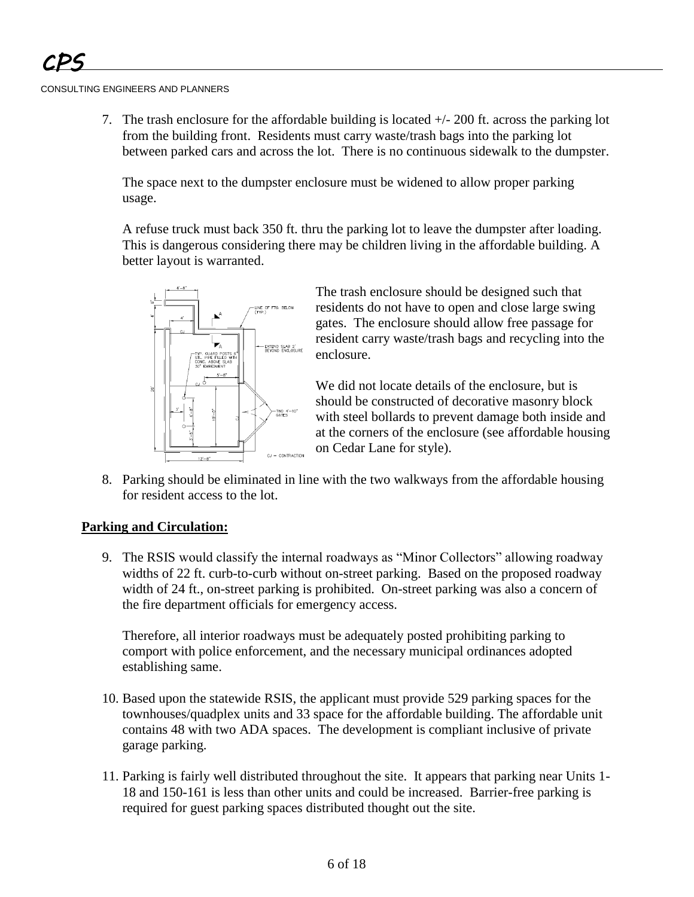7. The trash enclosure for the affordable building is located  $+/- 200$  ft. across the parking lot from the building front. Residents must carry waste/trash bags into the parking lot between parked cars and across the lot. There is no continuous sidewalk to the dumpster.

The space next to the dumpster enclosure must be widened to allow proper parking usage.

A refuse truck must back 350 ft. thru the parking lot to leave the dumpster after loading. This is dangerous considering there may be children living in the affordable building. A better layout is warranted.



The trash enclosure should be designed such that residents do not have to open and close large swing gates. The enclosure should allow free passage for resident carry waste/trash bags and recycling into the enclosure.

We did not locate details of the enclosure, but is should be constructed of decorative masonry block with steel bollards to prevent damage both inside and at the corners of the enclosure (see affordable housing on Cedar Lane for style).

8. Parking should be eliminated in line with the two walkways from the affordable housing for resident access to the lot.

## **Parking and Circulation:**

9. The RSIS would classify the internal roadways as "Minor Collectors" allowing roadway widths of 22 ft. curb-to-curb without on-street parking. Based on the proposed roadway width of 24 ft., on-street parking is prohibited. On-street parking was also a concern of the fire department officials for emergency access.

Therefore, all interior roadways must be adequately posted prohibiting parking to comport with police enforcement, and the necessary municipal ordinances adopted establishing same.

- 10. Based upon the statewide RSIS, the applicant must provide 529 parking spaces for the townhouses/quadplex units and 33 space for the affordable building. The affordable unit contains 48 with two ADA spaces. The development is compliant inclusive of private garage parking.
- 11. Parking is fairly well distributed throughout the site. It appears that parking near Units 1- 18 and 150-161 is less than other units and could be increased. Barrier-free parking is required for guest parking spaces distributed thought out the site.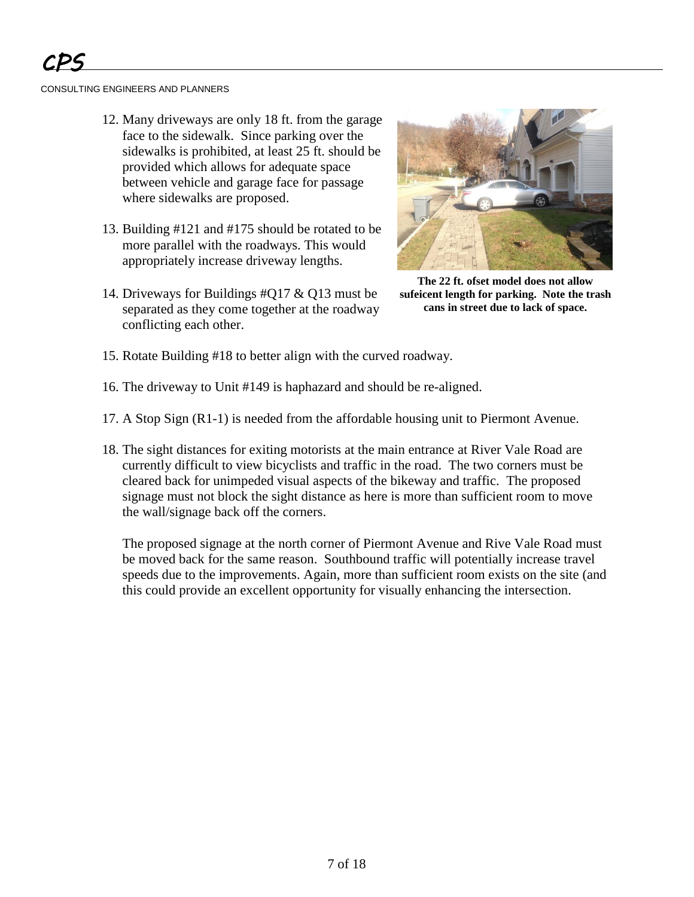- 12. Many driveways are only 18 ft. from the garage face to the sidewalk. Since parking over the sidewalks is prohibited, at least 25 ft. should be provided which allows for adequate space between vehicle and garage face for passage where sidewalks are proposed.
- 13. Building #121 and #175 should be rotated to be more parallel with the roadways. This would appropriately increase driveway lengths.
- 14. Driveways for Buildings #Q17 & Q13 must be separated as they come together at the roadway conflicting each other.



**The 22 ft. ofset model does not allow sufeicent length for parking. Note the trash cans in street due to lack of space.**

- 15. Rotate Building #18 to better align with the curved roadway.
- 16. The driveway to Unit #149 is haphazard and should be re-aligned.
- 17. A Stop Sign (R1-1) is needed from the affordable housing unit to Piermont Avenue.
- 18. The sight distances for exiting motorists at the main entrance at River Vale Road are currently difficult to view bicyclists and traffic in the road. The two corners must be cleared back for unimpeded visual aspects of the bikeway and traffic. The proposed signage must not block the sight distance as here is more than sufficient room to move the wall/signage back off the corners.

The proposed signage at the north corner of Piermont Avenue and Rive Vale Road must be moved back for the same reason. Southbound traffic will potentially increase travel speeds due to the improvements. Again, more than sufficient room exists on the site (and this could provide an excellent opportunity for visually enhancing the intersection.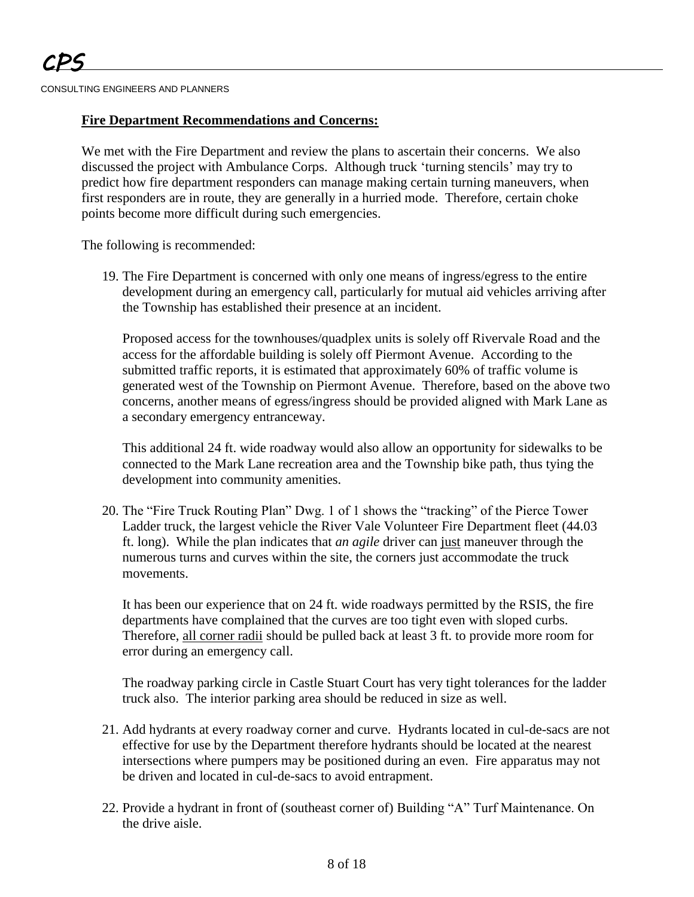### **Fire Department Recommendations and Concerns:**

We met with the Fire Department and review the plans to ascertain their concerns. We also discussed the project with Ambulance Corps. Although truck 'turning stencils' may try to predict how fire department responders can manage making certain turning maneuvers, when first responders are in route, they are generally in a hurried mode. Therefore, certain choke points become more difficult during such emergencies.

The following is recommended:

19. The Fire Department is concerned with only one means of ingress/egress to the entire development during an emergency call, particularly for mutual aid vehicles arriving after the Township has established their presence at an incident.

Proposed access for the townhouses/quadplex units is solely off Rivervale Road and the access for the affordable building is solely off Piermont Avenue. According to the submitted traffic reports, it is estimated that approximately 60% of traffic volume is generated west of the Township on Piermont Avenue. Therefore, based on the above two concerns, another means of egress/ingress should be provided aligned with Mark Lane as a secondary emergency entranceway.

This additional 24 ft. wide roadway would also allow an opportunity for sidewalks to be connected to the Mark Lane recreation area and the Township bike path, thus tying the development into community amenities.

20. The "Fire Truck Routing Plan" Dwg. 1 of 1 shows the "tracking" of the Pierce Tower Ladder truck, the largest vehicle the River Vale Volunteer Fire Department fleet (44.03 ft. long). While the plan indicates that *an agile* driver can just maneuver through the numerous turns and curves within the site, the corners just accommodate the truck movements.

It has been our experience that on 24 ft. wide roadways permitted by the RSIS, the fire departments have complained that the curves are too tight even with sloped curbs. Therefore, all corner radii should be pulled back at least 3 ft. to provide more room for error during an emergency call.

The roadway parking circle in Castle Stuart Court has very tight tolerances for the ladder truck also. The interior parking area should be reduced in size as well.

- 21. Add hydrants at every roadway corner and curve. Hydrants located in cul-de-sacs are not effective for use by the Department therefore hydrants should be located at the nearest intersections where pumpers may be positioned during an even. Fire apparatus may not be driven and located in cul-de-sacs to avoid entrapment.
- 22. Provide a hydrant in front of (southeast corner of) Building "A" Turf Maintenance. On the drive aisle.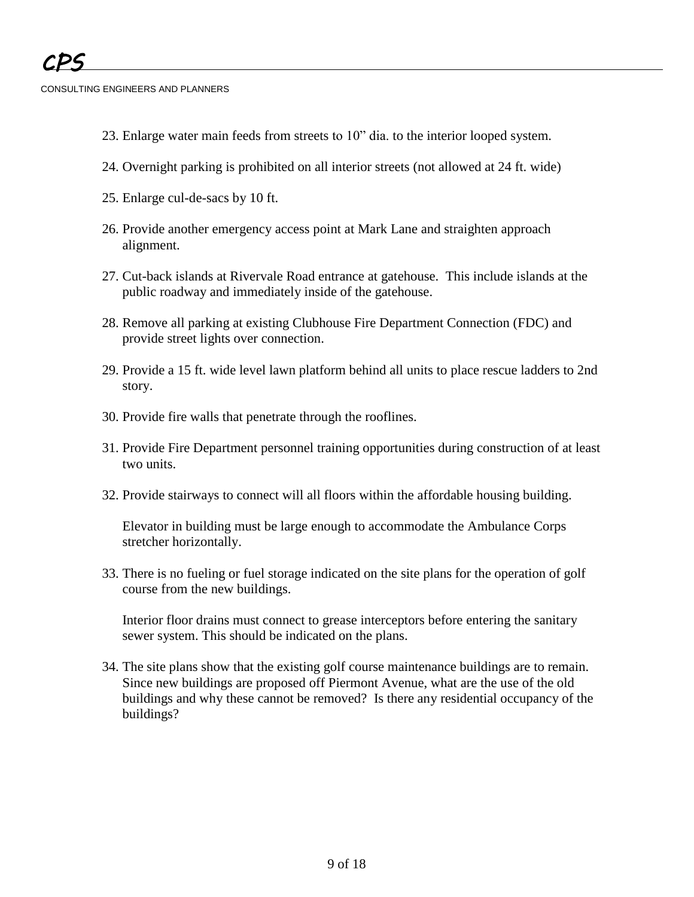- 23. Enlarge water main feeds from streets to 10" dia. to the interior looped system.
- 24. Overnight parking is prohibited on all interior streets (not allowed at 24 ft. wide)
- 25. Enlarge cul-de-sacs by 10 ft.
- 26. Provide another emergency access point at Mark Lane and straighten approach alignment.
- 27. Cut-back islands at Rivervale Road entrance at gatehouse. This include islands at the public roadway and immediately inside of the gatehouse.
- 28. Remove all parking at existing Clubhouse Fire Department Connection (FDC) and provide street lights over connection.
- 29. Provide a 15 ft. wide level lawn platform behind all units to place rescue ladders to 2nd story.
- 30. Provide fire walls that penetrate through the rooflines.
- 31. Provide Fire Department personnel training opportunities during construction of at least two units.
- 32. Provide stairways to connect will all floors within the affordable housing building.

Elevator in building must be large enough to accommodate the Ambulance Corps stretcher horizontally.

33. There is no fueling or fuel storage indicated on the site plans for the operation of golf course from the new buildings.

Interior floor drains must connect to grease interceptors before entering the sanitary sewer system. This should be indicated on the plans.

34. The site plans show that the existing golf course maintenance buildings are to remain. Since new buildings are proposed off Piermont Avenue, what are the use of the old buildings and why these cannot be removed? Is there any residential occupancy of the buildings?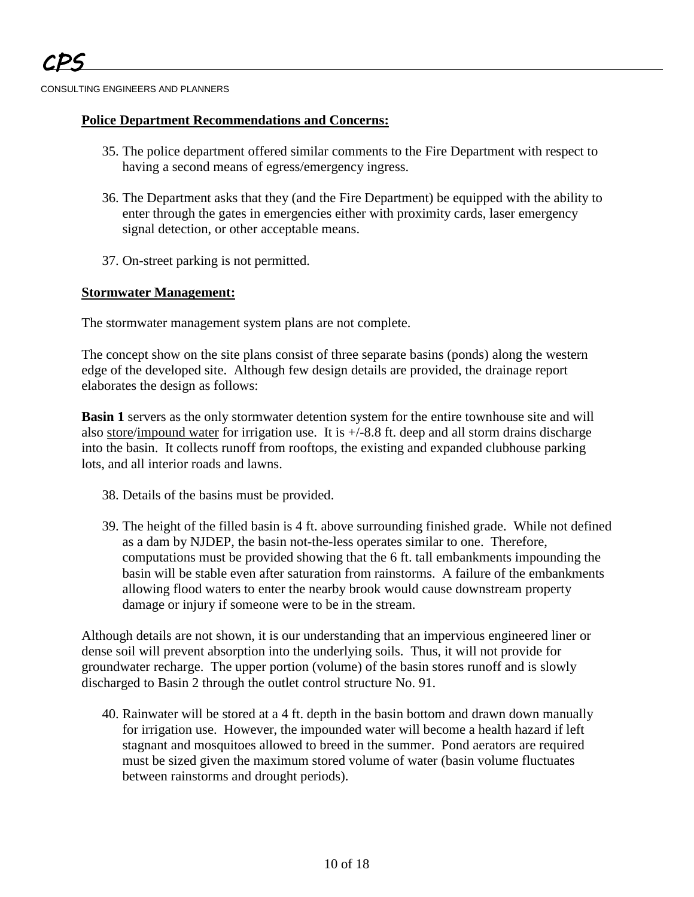# **Police Department Recommendations and Concerns:**

- 35. The police department offered similar comments to the Fire Department with respect to having a second means of egress/emergency ingress.
- 36. The Department asks that they (and the Fire Department) be equipped with the ability to enter through the gates in emergencies either with proximity cards, laser emergency signal detection, or other acceptable means.
- 37. On-street parking is not permitted.

# **Stormwater Management:**

The stormwater management system plans are not complete.

The concept show on the site plans consist of three separate basins (ponds) along the western edge of the developed site. Although few design details are provided, the drainage report elaborates the design as follows:

**Basin 1** servers as the only stormwater detention system for the entire townhouse site and will also store/impound water for irrigation use. It is  $+/-8.8$  ft. deep and all storm drains discharge into the basin. It collects runoff from rooftops, the existing and expanded clubhouse parking lots, and all interior roads and lawns.

- 38. Details of the basins must be provided.
- 39. The height of the filled basin is 4 ft. above surrounding finished grade. While not defined as a dam by NJDEP, the basin not-the-less operates similar to one. Therefore, computations must be provided showing that the 6 ft. tall embankments impounding the basin will be stable even after saturation from rainstorms. A failure of the embankments allowing flood waters to enter the nearby brook would cause downstream property damage or injury if someone were to be in the stream.

Although details are not shown, it is our understanding that an impervious engineered liner or dense soil will prevent absorption into the underlying soils. Thus, it will not provide for groundwater recharge. The upper portion (volume) of the basin stores runoff and is slowly discharged to Basin 2 through the outlet control structure No. 91.

40. Rainwater will be stored at a 4 ft. depth in the basin bottom and drawn down manually for irrigation use. However, the impounded water will become a health hazard if left stagnant and mosquitoes allowed to breed in the summer. Pond aerators are required must be sized given the maximum stored volume of water (basin volume fluctuates between rainstorms and drought periods).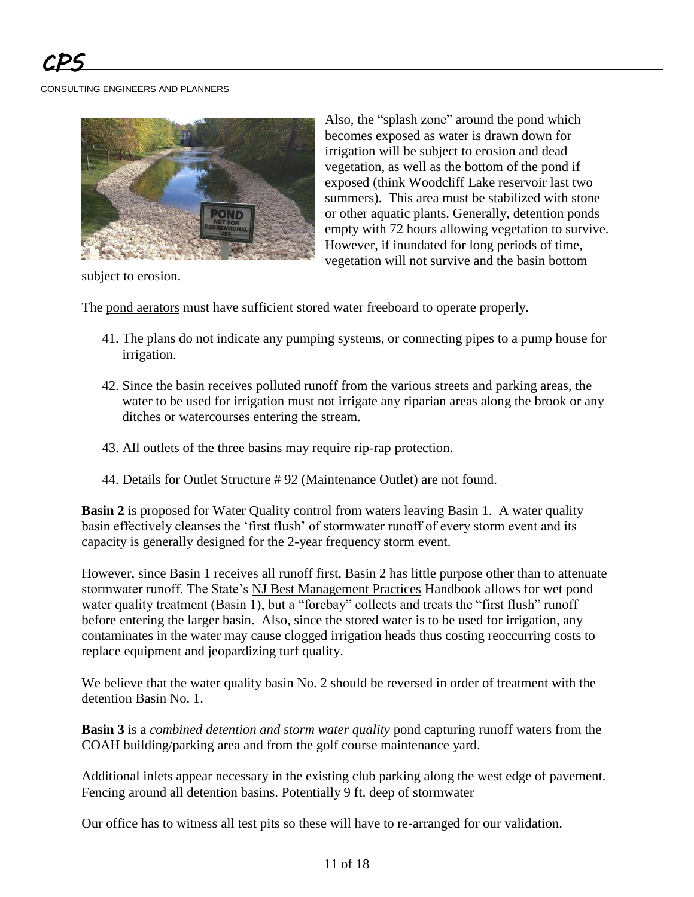

Also, the "splash zone" around the pond which becomes exposed as water is drawn down for irrigation will be subject to erosion and dead vegetation, as well as the bottom of the pond if exposed (think Woodcliff Lake reservoir last two summers). This area must be stabilized with stone or other aquatic plants. Generally, detention ponds empty with 72 hours allowing vegetation to survive. However, if inundated for long periods of time, vegetation will not survive and the basin bottom

subject to erosion.

The pond aerators must have sufficient stored water freeboard to operate properly.

- 41. The plans do not indicate any pumping systems, or connecting pipes to a pump house for irrigation.
- 42. Since the basin receives polluted runoff from the various streets and parking areas, the water to be used for irrigation must not irrigate any riparian areas along the brook or any ditches or watercourses entering the stream.
- 43. All outlets of the three basins may require rip-rap protection.
- 44. Details for Outlet Structure # 92 (Maintenance Outlet) are not found.

**Basin 2** is proposed for Water Quality control from waters leaving Basin 1. A water quality basin effectively cleanses the 'first flush' of stormwater runoff of every storm event and its capacity is generally designed for the 2-year frequency storm event.

However, since Basin 1 receives all runoff first, Basin 2 has little purpose other than to attenuate stormwater runoff. The State's NJ Best Management Practices Handbook allows for wet pond water quality treatment (Basin 1), but a "forebay" collects and treats the "first flush" runoff before entering the larger basin. Also, since the stored water is to be used for irrigation, any contaminates in the water may cause clogged irrigation heads thus costing reoccurring costs to replace equipment and jeopardizing turf quality.

We believe that the water quality basin No. 2 should be reversed in order of treatment with the detention Basin No. 1.

**Basin 3** is a *combined detention and storm water quality* pond capturing runoff waters from the COAH building/parking area and from the golf course maintenance yard.

Additional inlets appear necessary in the existing club parking along the west edge of pavement. Fencing around all detention basins. Potentially 9 ft. deep of stormwater

Our office has to witness all test pits so these will have to re-arranged for our validation.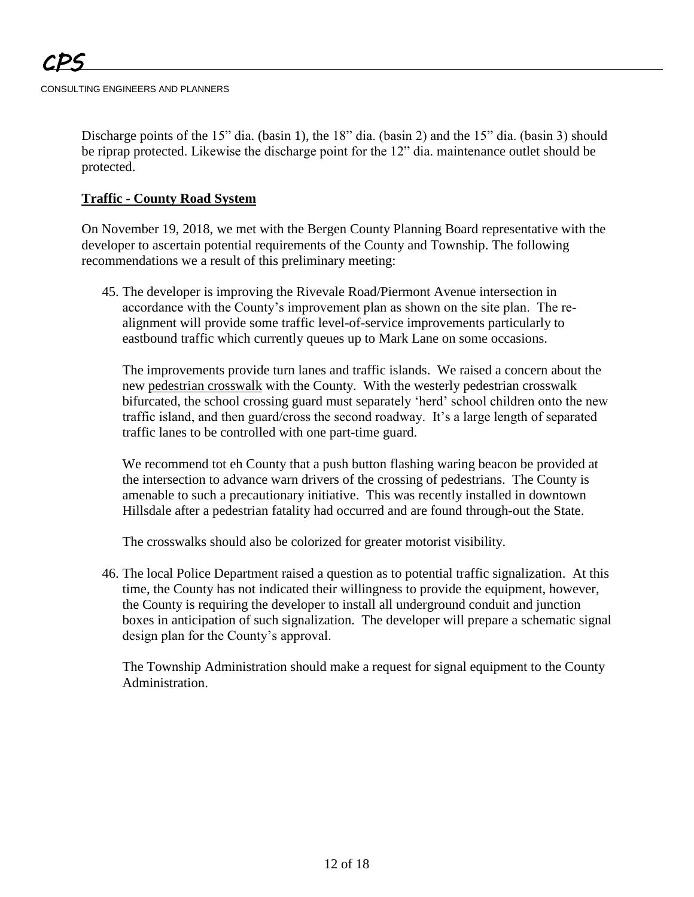Discharge points of the 15" dia. (basin 1), the 18" dia. (basin 2) and the 15" dia. (basin 3) should be riprap protected. Likewise the discharge point for the 12" dia. maintenance outlet should be protected.

# **Traffic - County Road System**

On November 19, 2018, we met with the Bergen County Planning Board representative with the developer to ascertain potential requirements of the County and Township. The following recommendations we a result of this preliminary meeting:

45. The developer is improving the Rivevale Road/Piermont Avenue intersection in accordance with the County's improvement plan as shown on the site plan. The realignment will provide some traffic level-of-service improvements particularly to eastbound traffic which currently queues up to Mark Lane on some occasions.

The improvements provide turn lanes and traffic islands. We raised a concern about the new pedestrian crosswalk with the County. With the westerly pedestrian crosswalk bifurcated, the school crossing guard must separately 'herd' school children onto the new traffic island, and then guard/cross the second roadway. It's a large length of separated traffic lanes to be controlled with one part-time guard.

We recommend tot eh County that a push button flashing waring beacon be provided at the intersection to advance warn drivers of the crossing of pedestrians. The County is amenable to such a precautionary initiative. This was recently installed in downtown Hillsdale after a pedestrian fatality had occurred and are found through-out the State.

The crosswalks should also be colorized for greater motorist visibility.

46. The local Police Department raised a question as to potential traffic signalization. At this time, the County has not indicated their willingness to provide the equipment, however, the County is requiring the developer to install all underground conduit and junction boxes in anticipation of such signalization. The developer will prepare a schematic signal design plan for the County's approval.

The Township Administration should make a request for signal equipment to the County Administration.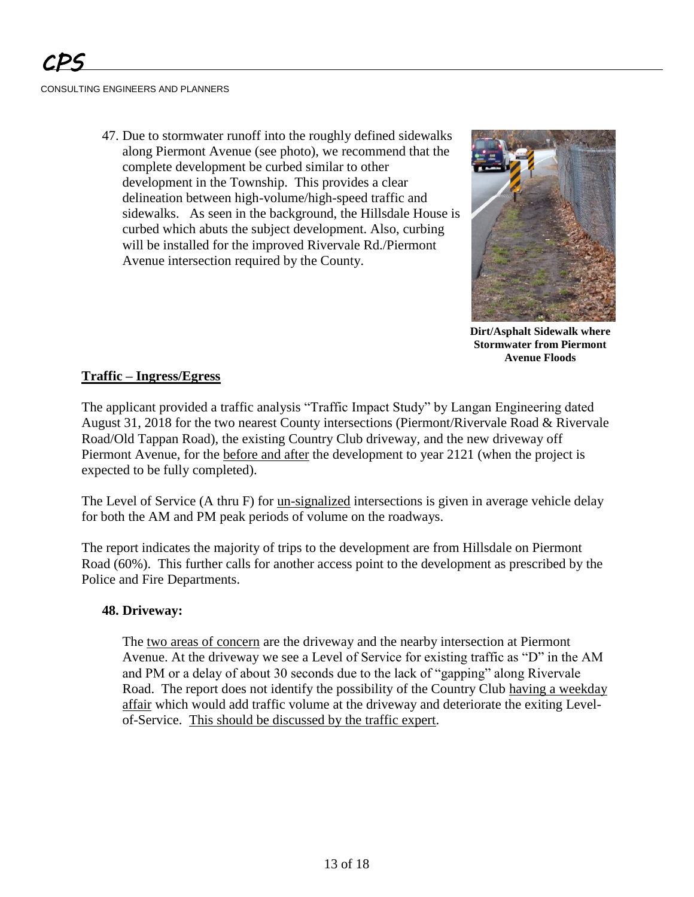47. Due to stormwater runoff into the roughly defined sidewalks along Piermont Avenue (see photo), we recommend that the complete development be curbed similar to other development in the Township. This provides a clear delineation between high-volume/high-speed traffic and sidewalks. As seen in the background, the Hillsdale House is curbed which abuts the subject development. Also, curbing will be installed for the improved Rivervale Rd./Piermont Avenue intersection required by the County.



**Dirt/Asphalt Sidewalk where Stormwater from Piermont Avenue Floods**

## **Traffic – Ingress/Egress**

The applicant provided a traffic analysis "Traffic Impact Study" by Langan Engineering dated August 31, 2018 for the two nearest County intersections (Piermont/Rivervale Road & Rivervale Road/Old Tappan Road), the existing Country Club driveway, and the new driveway off Piermont Avenue, for the before and after the development to year 2121 (when the project is expected to be fully completed).

The Level of Service (A thru F) for un-signalized intersections is given in average vehicle delay for both the AM and PM peak periods of volume on the roadways.

The report indicates the majority of trips to the development are from Hillsdale on Piermont Road (60%). This further calls for another access point to the development as prescribed by the Police and Fire Departments.

## **48. Driveway:**

The two areas of concern are the driveway and the nearby intersection at Piermont Avenue. At the driveway we see a Level of Service for existing traffic as "D" in the AM and PM or a delay of about 30 seconds due to the lack of "gapping" along Rivervale Road. The report does not identify the possibility of the Country Club having a weekday affair which would add traffic volume at the driveway and deteriorate the exiting Levelof-Service. This should be discussed by the traffic expert.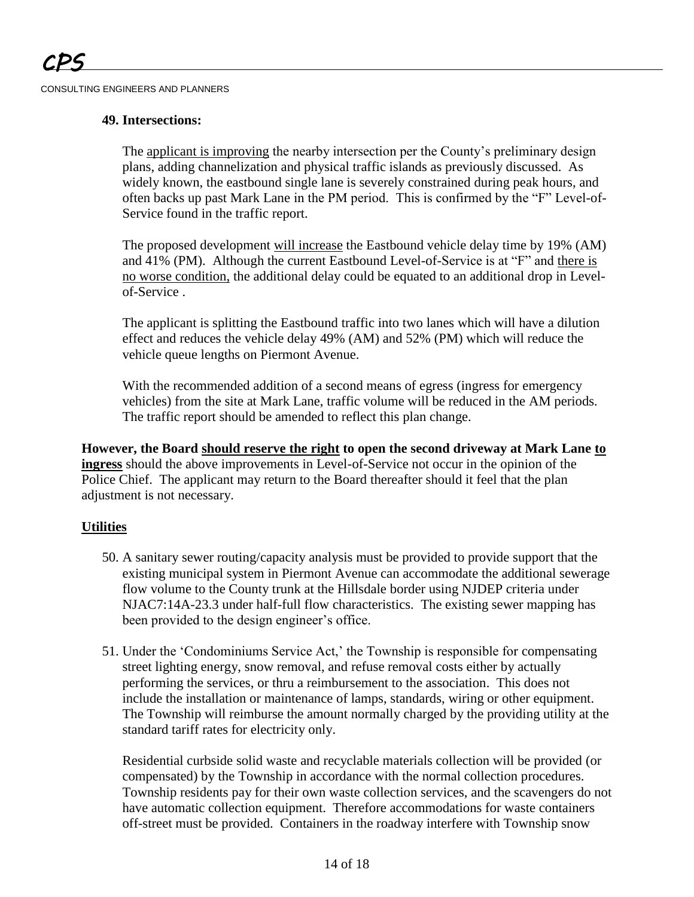### **49. Intersections:**

The applicant is improving the nearby intersection per the County's preliminary design plans, adding channelization and physical traffic islands as previously discussed. As widely known, the eastbound single lane is severely constrained during peak hours, and often backs up past Mark Lane in the PM period. This is confirmed by the "F" Level-of-Service found in the traffic report.

The proposed development will increase the Eastbound vehicle delay time by 19% (AM) and 41% (PM). Although the current Eastbound Level-of-Service is at "F" and there is no worse condition, the additional delay could be equated to an additional drop in Levelof-Service .

The applicant is splitting the Eastbound traffic into two lanes which will have a dilution effect and reduces the vehicle delay 49% (AM) and 52% (PM) which will reduce the vehicle queue lengths on Piermont Avenue.

With the recommended addition of a second means of egress (ingress for emergency vehicles) from the site at Mark Lane, traffic volume will be reduced in the AM periods. The traffic report should be amended to reflect this plan change.

**However, the Board should reserve the right to open the second driveway at Mark Lane to ingress** should the above improvements in Level-of-Service not occur in the opinion of the Police Chief.The applicant may return to the Board thereafter should it feel that the plan adjustment is not necessary.

# **Utilities**

- 50. A sanitary sewer routing/capacity analysis must be provided to provide support that the existing municipal system in Piermont Avenue can accommodate the additional sewerage flow volume to the County trunk at the Hillsdale border using NJDEP criteria under NJAC7:14A-23.3 under half-full flow characteristics. The existing sewer mapping has been provided to the design engineer's office.
- 51. Under the 'Condominiums Service Act,' the Township is responsible for compensating street lighting energy, snow removal, and refuse removal costs either by actually performing the services, or thru a reimbursement to the association. This does not include the installation or maintenance of lamps, standards, wiring or other equipment. The Township will reimburse the amount normally charged by the providing utility at the standard tariff rates for electricity only.

Residential curbside solid waste and recyclable materials collection will be provided (or compensated) by the Township in accordance with the normal collection procedures. Township residents pay for their own waste collection services, and the scavengers do not have automatic collection equipment. Therefore accommodations for waste containers off-street must be provided. Containers in the roadway interfere with Township snow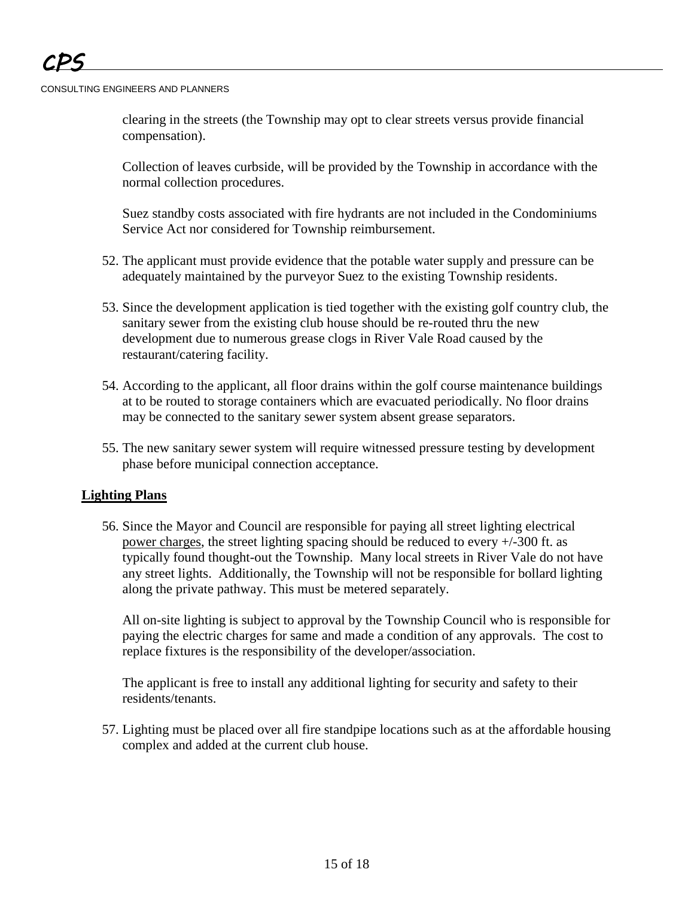clearing in the streets (the Township may opt to clear streets versus provide financial compensation).

Collection of leaves curbside, will be provided by the Township in accordance with the normal collection procedures.

Suez standby costs associated with fire hydrants are not included in the Condominiums Service Act nor considered for Township reimbursement.

- 52. The applicant must provide evidence that the potable water supply and pressure can be adequately maintained by the purveyor Suez to the existing Township residents.
- 53. Since the development application is tied together with the existing golf country club, the sanitary sewer from the existing club house should be re-routed thru the new development due to numerous grease clogs in River Vale Road caused by the restaurant/catering facility.
- 54. According to the applicant, all floor drains within the golf course maintenance buildings at to be routed to storage containers which are evacuated periodically. No floor drains may be connected to the sanitary sewer system absent grease separators.
- 55. The new sanitary sewer system will require witnessed pressure testing by development phase before municipal connection acceptance.

## **Lighting Plans**

56. Since the Mayor and Council are responsible for paying all street lighting electrical power charges, the street lighting spacing should be reduced to every +/-300 ft. as typically found thought-out the Township. Many local streets in River Vale do not have any street lights. Additionally, the Township will not be responsible for bollard lighting along the private pathway. This must be metered separately.

All on-site lighting is subject to approval by the Township Council who is responsible for paying the electric charges for same and made a condition of any approvals. The cost to replace fixtures is the responsibility of the developer/association.

The applicant is free to install any additional lighting for security and safety to their residents/tenants.

57. Lighting must be placed over all fire standpipe locations such as at the affordable housing complex and added at the current club house.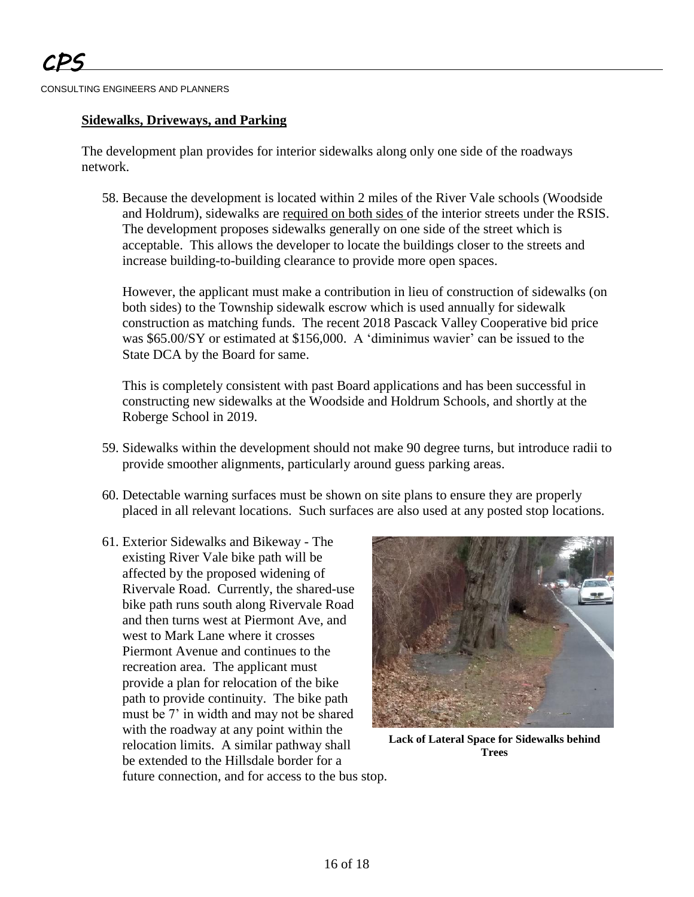## **Sidewalks, Driveways, and Parking**

The development plan provides for interior sidewalks along only one side of the roadways network.

58. Because the development is located within 2 miles of the River Vale schools (Woodside and Holdrum), sidewalks are required on both sides of the interior streets under the RSIS. The development proposes sidewalks generally on one side of the street which is acceptable. This allows the developer to locate the buildings closer to the streets and increase building-to-building clearance to provide more open spaces.

However, the applicant must make a contribution in lieu of construction of sidewalks (on both sides) to the Township sidewalk escrow which is used annually for sidewalk construction as matching funds. The recent 2018 Pascack Valley Cooperative bid price was \$65.00/SY or estimated at \$156,000. A 'diminimus wavier' can be issued to the State DCA by the Board for same.

This is completely consistent with past Board applications and has been successful in constructing new sidewalks at the Woodside and Holdrum Schools, and shortly at the Roberge School in 2019.

- 59. Sidewalks within the development should not make 90 degree turns, but introduce radii to provide smoother alignments, particularly around guess parking areas.
- 60. Detectable warning surfaces must be shown on site plans to ensure they are properly placed in all relevant locations. Such surfaces are also used at any posted stop locations.
- 61. Exterior Sidewalks and Bikeway The existing River Vale bike path will be affected by the proposed widening of Rivervale Road. Currently, the shared-use bike path runs south along Rivervale Road and then turns west at Piermont Ave, and west to Mark Lane where it crosses Piermont Avenue and continues to the recreation area. The applicant must provide a plan for relocation of the bike path to provide continuity. The bike path must be 7' in width and may not be shared with the roadway at any point within the relocation limits. A similar pathway shall be extended to the Hillsdale border for a future connection, and for access to the bus stop.



**Lack of Lateral Space for Sidewalks behind Trees**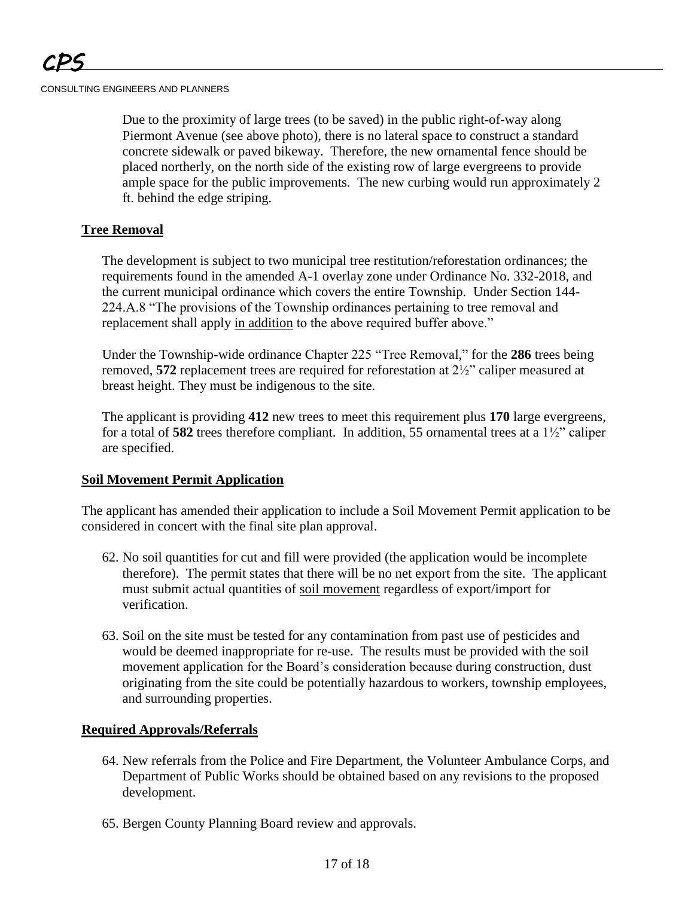Due to the proximity of large trees (to be saved) in the public right-of-way along Piermont Avenue (see above photo), there is no lateral space to construct a standard concrete sidewalk or paved bikeway. Therefore, the new ornamental fence should be placed northerly, on the north side of the existing row of large evergreens to provide ample space for the public improvements. The new curbing would run approximately 2 ft. behind the edge striping.

## **Tree Removal**

The development is subject to two municipal tree restitution/reforestation ordinances; the requirements found in the amended A-1 overlay zone under Ordinance No. 332-2018, and the current municipal ordinance which covers the entire Township. Under Section 144- 224.A.8 "The provisions of the Township ordinances pertaining to tree removal and replacement shall apply in addition to the above required buffer above."

Under the Township-wide ordinance Chapter 225 "Tree Removal," for the **286** trees being removed, **572** replacement trees are required for reforestation at 2½" caliper measured at breast height. They must be indigenous to the site.

The applicant is providing **412** new trees to meet this requirement plus **170** large evergreens, for a total of **582** trees therefore compliant. In addition, 55 ornamental trees at a 1½" caliper are specified.

## **Soil Movement Permit Application**

The applicant has amended their application to include a Soil Movement Permit application to be considered in concert with the final site plan approval.

- 62. No soil quantities for cut and fill were provided (the application would be incomplete therefore). The permit states that there will be no net export from the site. The applicant must submit actual quantities of soil movement regardless of export/import for verification.
- 63. Soil on the site must be tested for any contamination from past use of pesticides and would be deemed inappropriate for re-use. The results must be provided with the soil movement application for the Board's consideration because during construction, dust originating from the site could be potentially hazardous to workers, township employees, and surrounding properties.

## **Required Approvals/Referrals**

- 64. New referrals from the Police and Fire Department, the Volunteer Ambulance Corps, and Department of Public Works should be obtained based on any revisions to the proposed development.
- 65. Bergen County Planning Board review and approvals.